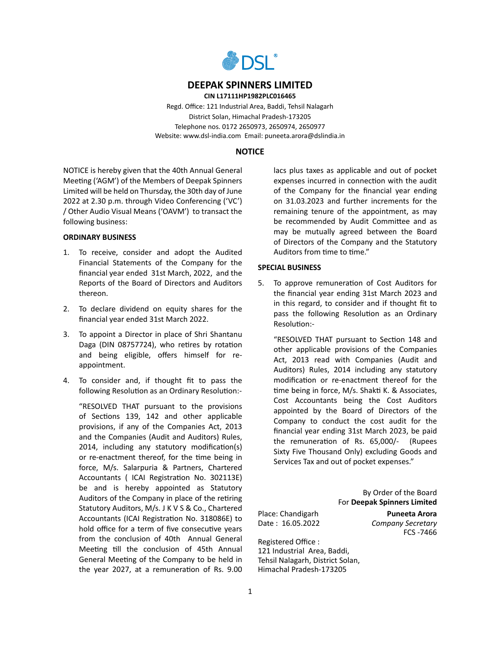

### **DEEPAK SPINNERS LIMITED**

**CIN L17111HP1982PLC016465**

Regd. Office: 121 Industrial Area, Baddi, Tehsil Nalagarh District Solan, Himachal Pradesh-173205 Telephone nos. 0172 2650973, 2650974, 2650977 Website: www.dsl-india.com Email: puneeta.arora@dslindia.in

## **NOTICE**

NOTICE is hereby given that the 40th Annual General Meeting ('AGM') of the Members of Deepak Spinners Limited will be held on Thursday, the 30th day of June 2022 at 2.30 p.m. through Video Conferencing ('VC') / Other Audio Visual Means ('OAVM') to transact the following business:

#### **ORDINARY BUSINESS**

- 1. To receive, consider and adopt the Audited Financial Statements of the Company for the financial year ended 31st March, 2022, and the Reports of the Board of Directors and Auditors thereon.
- 2. To declare dividend on equity shares for the financial year ended 31st March 2022.
- 3. To appoint a Director in place of Shri Shantanu Daga (DIN 08757724), who retires by rotation and being eligible, offers himself for reappointment.
- 4. To consider and, if thought fit to pass the following Resolution as an Ordinary Resolution:-

"RESOLVED THAT pursuant to the provisions of Sections 139, 142 and other applicable provisions, if any of the Companies Act, 2013 and the Companies (Audit and Auditors) Rules, 2014, including any statutory modification(s) or re-enactment thereof, for the time being in force, M/s. Salarpuria & Partners, Chartered Accountants ( ICAI Registration No. 302113E) be and is hereby appointed as Statutory Auditors of the Company in place of the retiring Statutory Auditors, M/s. J K V S & Co., Chartered Accountants (ICAI Registration No. 318086E) to hold office for a term of five consecutive years from the conclusion of 40th Annual General Meeting till the conclusion of 45th Annual General Meeting of the Company to be held in the year 2027, at a remuneration of Rs. 9.00 lacs plus taxes as applicable and out of pocket expenses incurred in connection with the audit of the Company for the financial year ending on 31.03.2023 and further increments for the remaining tenure of the appointment, as may be recommended by Audit Committee and as may be mutually agreed between the Board of Directors of the Company and the Statutory Auditors from time to time."

## **SPECIAL BUSINESS**

5. To approve remuneration of Cost Auditors for the financial year ending 31st March 2023 and in this regard, to consider and if thought fit to pass the following Resolution as an Ordinary Resolution:-

"RESOLVED THAT pursuant to Section 148 and other applicable provisions of the Companies Act, 2013 read with Companies (Audit and Auditors) Rules, 2014 including any statutory modification or re-enactment thereof for the time being in force, M/s. Shakti K. & Associates, Cost Accountants being the Cost Auditors appointed by the Board of Directors of the Company to conduct the cost audit for the financial year ending 31st March 2023, be paid the remuneration of Rs. 65,000/- (Rupees Sixty Five Thousand Only) excluding Goods and Services Tax and out of pocket expenses."

> By Order of the Board For **Deepak Spinners Limited**

Place: Chandigarh **Puneeta Arora**

Date : 16.05.2022 *Company Secretary* FCS -7466

Registered Office : 121 Industrial Area, Baddi, Tehsil Nalagarh, District Solan, Himachal Pradesh-173205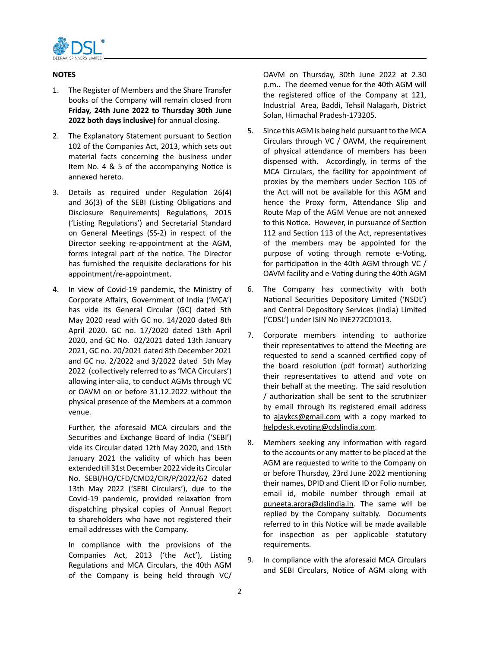

## **NOTES**

- 1. The Register of Members and the Share Transfer books of the Company will remain closed from **Friday, 24th June 2022 to Thursday 30th June 2022 both days inclusive)** for annual closing.
- 2. The Explanatory Statement pursuant to Section 102 of the Companies Act, 2013, which sets out material facts concerning the business under Item No. 4 & 5 of the accompanying Notice is annexed hereto.
- 3. Details as required under Regulation 26(4) and 36(3) of the SEBI (Listing Obligations and Disclosure Requirements) Regulations, 2015 ('Listing Regulations') and Secretarial Standard on General Meetings (SS-2) in respect of the Director seeking re-appointment at the AGM, forms integral part of the notice. The Director has furnished the requisite declarations for his appointment/re-appointment.
- 4. In view of Covid-19 pandemic, the Ministry of Corporate Affairs, Government of India ('MCA') has vide its General Circular (GC) dated 5th May 2020 read with GC no. 14/2020 dated 8th April 2020. GC no. 17/2020 dated 13th April 2020, and GC No. 02/2021 dated 13th January 2021, GC no. 20/2021 dated 8th December 2021 and GC no. 2/2022 and 3/2022 dated 5th May 2022 (collectively referred to as 'MCA Circulars') allowing inter-alia, to conduct AGMs through VC or OAVM on or before 31.12.2022 without the physical presence of the Members at a common venue.

Further, the aforesaid MCA circulars and the Securities and Exchange Board of India ('SEBI') vide its Circular dated 12th May 2020, and 15th January 2021 the validity of which has been extended till 31st December 2022 vide its Circular No. SEBI/HO/CFD/CMD2/CIR/P/2022/62 dated 13th May 2022 ('SEBI Circulars'), due to the Covid-19 pandemic, provided relaxation from dispatching physical copies of Annual Report to shareholders who have not registered their email addresses with the Company.

In compliance with the provisions of the Companies Act, 2013 ('the Act'), Listing Regulations and MCA Circulars, the 40th AGM of the Company is being held through VC/

OAVM on Thursday, 30th June 2022 at 2.30 p.m.. The deemed venue for the 40th AGM will the registered office of the Company at 121, Industrial Area, Baddi, Tehsil Nalagarh, District Solan, Himachal Pradesh-173205.

- 5. Since this AGM is being held pursuant to the MCA Circulars through VC / OAVM, the requirement of physical attendance of members has been dispensed with. Accordingly, in terms of the MCA Circulars, the facility for appointment of proxies by the members under Section 105 of the Act will not be available for this AGM and hence the Proxy form, Attendance Slip and Route Map of the AGM Venue are not annexed to this Notice. However, in pursuance of Section 112 and Section 113 of the Act, representatives of the members may be appointed for the purpose of voting through remote e-Voting, for participation in the 40th AGM through VC / OAVM facility and e-Voting during the 40th AGM
- 6. The Company has connectivity with both National Securities Depository Limited ('NSDL') and Central Depository Services (India) Limited ('CDSL') under ISIN No INE272C01013.
- 7. Corporate members intending to authorize their representatives to attend the Meeting are requested to send a scanned certified copy of the board resolution (pdf format) authorizing their representatives to attend and vote on their behalf at the meeting. The said resolution / authorization shall be sent to the scrutinizer by email through its registered email address to ajaykcs@gmail.com with a copy marked to helpdesk.evoting@cdslindia.com.
- 8. Members seeking any information with regard to the accounts or any matter to be placed at the AGM are requested to write to the Company on or before Thursday, 23rd June 2022 mentioning their names, DPID and Client ID or Folio number, email id, mobile number through email at puneeta.arora@dslindia.in. The same will be replied by the Company suitably. Documents referred to in this Notice will be made available for inspection as per applicable statutory requirements.
- 9. In compliance with the aforesaid MCA Circulars and SEBI Circulars, Notice of AGM along with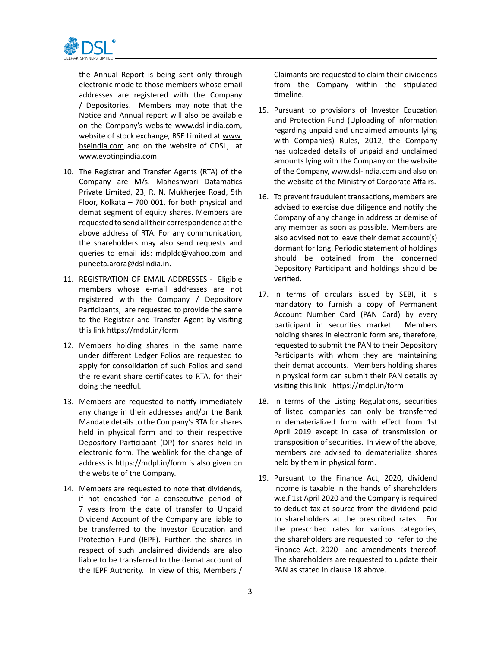

the Annual Report is being sent only through electronic mode to those members whose email addresses are registered with the Company / Depositories. Members may note that the Notice and Annual report will also be available on the Company's website www.dsl-india.com, website of stock exchange, BSE Limited at www. bseindia.com and on the website of CDSL, at www.evotingindia.com.

- 10. The Registrar and Transfer Agents (RTA) of the Company are M/s. Maheshwari Datamatics Private Limited, 23, R. N. Mukherjee Road, 5th Floor, Kolkata – 700 001, for both physical and demat segment of equity shares. Members are requested to send all their correspondence at the above address of RTA. For any communication, the shareholders may also send requests and queries to email ids: mdpldc@yahoo.com and puneeta.arora@dslindia.in.
- 11. REGISTRATION OF EMAIL ADDRESSES Eligible members whose e-mail addresses are not registered with the Company / Depository Participants, are requested to provide the same to the Registrar and Transfer Agent by visiting this link https://mdpl.in/form
- 12. Members holding shares in the same name under different Ledger Folios are requested to apply for consolidation of such Folios and send the relevant share certificates to RTA, for their doing the needful.
- 13. Members are requested to notify immediately any change in their addresses and/or the Bank Mandate details to the Company's RTA for shares held in physical form and to their respective Depository Participant (DP) for shares held in electronic form. The weblink for the change of address is https://mdpl.in/form is also given on the website of the Company.
- 14. Members are requested to note that dividends, if not encashed for a consecutive period of 7 years from the date of transfer to Unpaid Dividend Account of the Company are liable to be transferred to the Investor Education and Protection Fund (IEPF). Further, the shares in respect of such unclaimed dividends are also liable to be transferred to the demat account of the IEPF Authority. In view of this, Members /

Claimants are requested to claim their dividends from the Company within the stipulated timeline.

- 15. Pursuant to provisions of Investor Education and Protection Fund (Uploading of information regarding unpaid and unclaimed amounts lying with Companies) Rules, 2012, the Company has uploaded details of unpaid and unclaimed amounts lying with the Company on the website of the Company, www.dsl-india.com and also on the website of the Ministry of Corporate Affairs.
- 16. To prevent fraudulent transactions, members are advised to exercise due diligence and notify the Company of any change in address or demise of any member as soon as possible. Members are also advised not to leave their demat account(s) dormant for long. Periodic statement of holdings should be obtained from the concerned Depository Participant and holdings should be verified.
- 17. In terms of circulars issued by SEBI, it is mandatory to furnish a copy of Permanent Account Number Card (PAN Card) by every participant in securities market. Members holding shares in electronic form are, therefore, requested to submit the PAN to their Depository Participants with whom they are maintaining their demat accounts. Members holding shares in physical form can submit their PAN details by visiting this link - https://mdpl.in/form
- 18. In terms of the Listing Regulations, securities of listed companies can only be transferred in dematerialized form with effect from 1st April 2019 except in case of transmission or transposition of securities. In view of the above, members are advised to dematerialize shares held by them in physical form.
- 19. Pursuant to the Finance Act, 2020, dividend income is taxable in the hands of shareholders w.e.f 1st April 2020 and the Company is required to deduct tax at source from the dividend paid to shareholders at the prescribed rates. For the prescribed rates for various categories, the shareholders are requested to refer to the Finance Act, 2020 and amendments thereof. The shareholders are requested to update their PAN as stated in clause 18 above.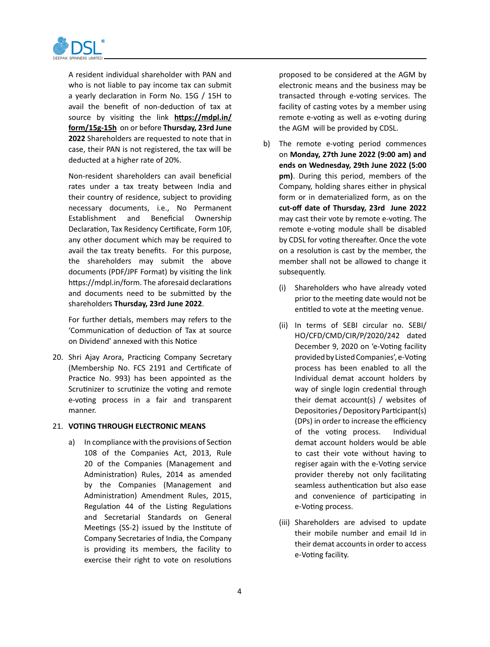

A resident individual shareholder with PAN and who is not liable to pay income tax can submit a yearly declaration in Form No. 15G / 15H to avail the benefit of non-deduction of tax at source by visiting the link **https://mdpl.in/ form/15g-15h** on or before **Thursday, 23rd June 2022** Shareholders are requested to note that in case, their PAN is not registered, the tax will be deducted at a higher rate of 20%.

Non-resident shareholders can avail beneficial rates under a tax treaty between India and their country of residence, subject to providing necessary documents, i.e., No Permanent Establishment and Beneficial Ownership Declaration, Tax Residency Certificate, Form 10F, any other document which may be required to avail the tax treaty benefits. For this purpose, the shareholders may submit the above documents (PDF/JPF Format) by visiting the link https://mdpl.in/form. The aforesaid declarations and documents need to be submitted by the shareholders **Thursday, 23rd June 2022**.

For further detials, members may refers to the 'Communication of deduction of Tax at source on Dividend' annexed with this Notice

20. Shri Ajay Arora, Practicing Company Secretary (Membership No. FCS 2191 and Certificate of Practice No. 993) has been appointed as the Scrutinizer to scrutinize the voting and remote e-voting process in a fair and transparent manner.

#### 21. **VOTING THROUGH ELECTRONIC MEANS**

a) In compliance with the provisions of Section 108 of the Companies Act, 2013, Rule 20 of the Companies (Management and Administration) Rules, 2014 as amended by the Companies (Management and Administration) Amendment Rules, 2015, Regulation 44 of the Listing Regulations and Secretarial Standards on General Meetings (SS-2) issued by the Institute of Company Secretaries of India, the Company is providing its members, the facility to exercise their right to vote on resolutions

proposed to be considered at the AGM by electronic means and the business may be transacted through e-voting services. The facility of casting votes by a member using remote e-voting as well as e-voting during the AGM will be provided by CDSL.

- b) The remote e-voting period commences on **Monday, 27th June 2022 (9:00 am) and ends on Wednesday, 29th June 2022 (5:00 pm)**. During this period, members of the Company, holding shares either in physical form or in dematerialized form, as on the **cut-off date of Thursday, 23rd June 2022**  may cast their vote by remote e-voting. The remote e-voting module shall be disabled by CDSL for voting thereafter. Once the vote on a resolution is cast by the member, the member shall not be allowed to change it subsequently.
	- (i) Shareholders who have already voted prior to the meeting date would not be entitled to vote at the meeting venue.
	- (ii) In terms of SEBI circular no. SEBI/ HO/CFD/CMD/CIR/P/2020/242 dated December 9, 2020 on 'e-Voting facility provided by Listed Companies', e-Voting process has been enabled to all the Individual demat account holders by way of single login credential through their demat account(s) / websites of Depositories / Depository Participant(s) (DPs) in order to increase the efficiency of the voting process. Individual demat account holders would be able to cast their vote without having to regiser again with the e-Voting service provider thereby not only facilitating seamless authentication but also ease and convenience of participating in e-Voting process.
	- (iii) Shareholders are advised to update their mobile number and email Id in their demat accounts in order to access e-Voting facility.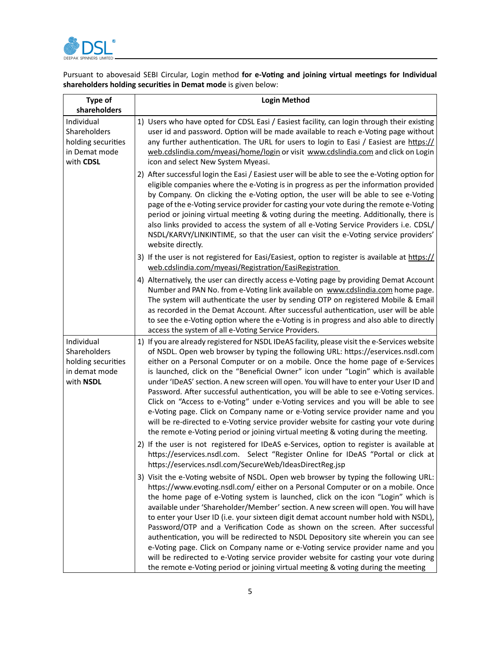

Pursuant to abovesaid SEBI Circular, Login method **for e-Voting and joining virtual meetings for Individual shareholders holding securities in Demat mode** is given below:

| <b>Type of</b><br>shareholders                                                 | <b>Login Method</b>                                                                                                                                                                                                                                                                                                                                                                                                                                                                                                                                                                                                                                                                                                                                                                                                                                                                                 |  |
|--------------------------------------------------------------------------------|-----------------------------------------------------------------------------------------------------------------------------------------------------------------------------------------------------------------------------------------------------------------------------------------------------------------------------------------------------------------------------------------------------------------------------------------------------------------------------------------------------------------------------------------------------------------------------------------------------------------------------------------------------------------------------------------------------------------------------------------------------------------------------------------------------------------------------------------------------------------------------------------------------|--|
| Individual<br>Shareholders<br>holding securities<br>in Demat mode<br>with CDSL | 1) Users who have opted for CDSL Easi / Easiest facility, can login through their existing<br>user id and password. Option will be made available to reach e-Voting page without<br>any further authentication. The URL for users to login to Easi / Easiest are https://<br>web.cdslindia.com/myeasi/home/login or visit www.cdslindia.com and click on Login<br>icon and select New System Myeasi.                                                                                                                                                                                                                                                                                                                                                                                                                                                                                                |  |
|                                                                                | 2) After successful login the Easi / Easiest user will be able to see the e-Voting option for<br>eligible companies where the e-Voting is in progress as per the information provided<br>by Company. On clicking the e-Voting option, the user will be able to see e-Voting<br>page of the e-Voting service provider for casting your vote during the remote e-Voting<br>period or joining virtual meeting & voting during the meeting. Additionally, there is<br>also links provided to access the system of all e-Voting Service Providers i.e. CDSL/<br>NSDL/KARVY/LINKINTIME, so that the user can visit the e-Voting service providers'<br>website directly.                                                                                                                                                                                                                                   |  |
|                                                                                | 3) If the user is not registered for Easi/Easiest, option to register is available at https://<br>web.cdslindia.com/myeasi/Registration/EasiRegistration                                                                                                                                                                                                                                                                                                                                                                                                                                                                                                                                                                                                                                                                                                                                            |  |
|                                                                                | 4) Alternatively, the user can directly access e-Voting page by providing Demat Account<br>Number and PAN No. from e-Voting link available on www.cdslindia.com home page.<br>The system will authenticate the user by sending OTP on registered Mobile & Email<br>as recorded in the Demat Account. After successful authentication, user will be able<br>to see the e-Voting option where the e-Voting is in progress and also able to directly<br>access the system of all e-Voting Service Providers.                                                                                                                                                                                                                                                                                                                                                                                           |  |
| Individual<br>Shareholders<br>holding securities<br>in demat mode<br>with NSDL | 1) If you are already registered for NSDL IDeAS facility, please visit the e-Services website<br>of NSDL. Open web browser by typing the following URL: https://eservices.nsdl.com<br>either on a Personal Computer or on a mobile. Once the home page of e-Services<br>is launched, click on the "Beneficial Owner" icon under "Login" which is available<br>under 'IDeAS' section. A new screen will open. You will have to enter your User ID and<br>Password. After successful authentication, you will be able to see e-Voting services.<br>Click on "Access to e-Voting" under e-Voting services and you will be able to see<br>e-Voting page. Click on Company name or e-Voting service provider name and you<br>will be re-directed to e-Voting service provider website for casting your vote during<br>the remote e-Voting period or joining virtual meeting & voting during the meeting. |  |
|                                                                                | 2) If the user is not registered for IDeAS e-Services, option to register is available at<br>https://eservices.nsdl.com. Select "Register Online for IDeAS "Portal or click at<br>https://eservices.nsdl.com/SecureWeb/IdeasDirectReg.jsp                                                                                                                                                                                                                                                                                                                                                                                                                                                                                                                                                                                                                                                           |  |
|                                                                                | 3) Visit the e-Voting website of NSDL. Open web browser by typing the following URL:<br>https://www.evoting.nsdl.com/ either on a Personal Computer or on a mobile. Once<br>the home page of e-Voting system is launched, click on the icon "Login" which is<br>available under 'Shareholder/Member' section. A new screen will open. You will have<br>to enter your User ID (i.e. your sixteen digit demat account number hold with NSDL),<br>Password/OTP and a Verification Code as shown on the screen. After successful<br>authentication, you will be redirected to NSDL Depository site wherein you can see<br>e-Voting page. Click on Company name or e-Voting service provider name and you<br>will be redirected to e-Voting service provider website for casting your vote during<br>the remote e-Voting period or joining virtual meeting & voting during the meeting                   |  |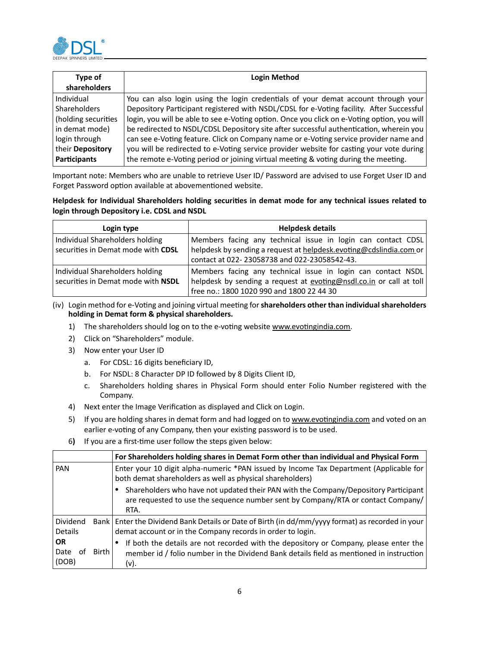

| Type of<br>shareholders | <b>Login Method</b>                                                                         |  |
|-------------------------|---------------------------------------------------------------------------------------------|--|
| Individual              | You can also login using the login credentials of your demat account through your           |  |
| <b>Shareholders</b>     | Depository Participant registered with NSDL/CDSL for e-Voting facility. After Successful    |  |
| (holding securities     | login, you will be able to see e-Voting option. Once you click on e-Voting option, you will |  |
| in demat mode)          | be redirected to NSDL/CDSL Depository site after successful authentication, wherein you     |  |
| login through           | can see e-Voting feature. Click on Company name or e-Voting service provider name and       |  |
| their Depository        | you will be redirected to e-Voting service provider website for casting your vote during    |  |
| <b>Participants</b>     | the remote e-Voting period or joining virtual meeting & voting during the meeting.          |  |

Important note: Members who are unable to retrieve User ID/ Password are advised to use Forget User ID and Forget Password option available at abovementioned website.

## **Helpdesk for Individual Shareholders holding securities in demat mode for any technical issues related to login through Depository i.e. CDSL and NSDL**

| Login type                         | <b>Helpdesk details</b>                                             |  |  |
|------------------------------------|---------------------------------------------------------------------|--|--|
| Individual Shareholders holding    | Members facing any technical issue in login can contact CDSL        |  |  |
| securities in Demat mode with CDSL | helpdesk by sending a request at helpdesk evoting@cdslindia.com or  |  |  |
|                                    | contact at 022-23058738 and 022-23058542-43.                        |  |  |
| Individual Shareholders holding    | Members facing any technical issue in login can contact NSDL        |  |  |
| securities in Demat mode with NSDL | helpdesk by sending a request at evoting@nsdl.co.in or call at toll |  |  |
|                                    | free no.: 1800 1020 990 and 1800 22 44 30                           |  |  |

(iv) Login method for e-Voting and joining virtual meeting for**shareholders other than individualshareholders holding in Demat form & physical shareholders.**

- 1) The shareholders should log on to the e-voting website www.evotingindia.com.
- 2) Click on "Shareholders" module.
- 3) Now enter your User ID
	- a. For CDSL: 16 digits beneficiary ID,
	- b. For NSDL: 8 Character DP ID followed by 8 Digits Client ID,
	- c. Shareholders holding shares in Physical Form should enter Folio Number registered with the Company.
- 4) Next enter the Image Verification as displayed and Click on Login.
- 5) If you are holding shares in demat form and had logged on to www.evotingindia.com and voted on an earlier e-voting of any Company, then your existing password is to be used.
- 6**)** If you are a first-time user follow the steps given below:

|                                           | For Shareholders holding shares in Demat Form other than individual and Physical Form                                                                                                    |
|-------------------------------------------|------------------------------------------------------------------------------------------------------------------------------------------------------------------------------------------|
| PAN                                       | Enter your 10 digit alpha-numeric *PAN issued by Income Tax Department (Applicable for<br>both demat shareholders as well as physical shareholders)                                      |
|                                           | Shareholders who have not updated their PAN with the Company/Depository Participant<br>are requested to use the sequence number sent by Company/RTA or contact Company/<br>RTA.          |
| Dividend<br><b>Details</b>                | Bank   Enter the Dividend Bank Details or Date of Birth (in dd/mm/yyyy format) as recorded in your<br>demat account or in the Company records in order to login.                         |
| <b>OR</b><br>Date<br>Birth<br>ΩŤ<br>(DOB) | If both the details are not recorded with the depository or Company, please enter the<br>member id / folio number in the Dividend Bank details field as mentioned in instruction<br>(v). |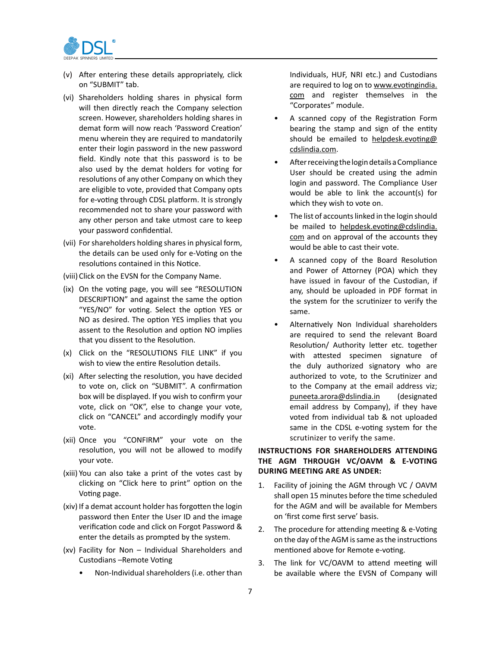

- (v) After entering these details appropriately, click on "SUBMIT" tab.
- (vi) Shareholders holding shares in physical form will then directly reach the Company selection screen. However, shareholders holding shares in demat form will now reach 'Password Creation' menu wherein they are required to mandatorily enter their login password in the new password field. Kindly note that this password is to be also used by the demat holders for voting for resolutions of any other Company on which they are eligible to vote, provided that Company opts for e-voting through CDSL platform. It is strongly recommended not to share your password with any other person and take utmost care to keep your password confidential.
- (vii) For shareholders holding shares in physical form, the details can be used only for e-Voting on the resolutions contained in this Notice.
- (viii) Click on the EVSN for the Company Name.
- (ix) On the voting page, you will see "RESOLUTION DESCRIPTION" and against the same the option "YES/NO" for voting. Select the option YES or NO as desired. The option YES implies that you assent to the Resolution and option NO implies that you dissent to the Resolution.
- (x) Click on the "RESOLUTIONS FILE LINK" if you wish to view the entire Resolution details.
- (xi) After selecting the resolution, you have decided to vote on, click on "SUBMIT". A confirmation box will be displayed. If you wish to confirm your vote, click on "OK", else to change your vote, click on "CANCEL" and accordingly modify your vote.
- (xii) Once you "CONFIRM" your vote on the resolution, you will not be allowed to modify your vote.
- (xiii) You can also take a print of the votes cast by clicking on "Click here to print" option on the Voting page.
- (xiv) If a demat account holder has forgotten the login password then Enter the User ID and the image verification code and click on Forgot Password & enter the details as prompted by the system.
- (xv) Facility for Non Individual Shareholders and Custodians –Remote Voting
	- Non-Individual shareholders (i.e. other than

Individuals, HUF, NRI etc.) and Custodians are required to log on to www.evotingindia. com and register themselves in the "Corporates" module.

- A scanned copy of the Registration Form bearing the stamp and sign of the entity should be emailed to helpdesk.evoting@ cdslindia.com.
- After receiving the login details a Compliance User should be created using the admin login and password. The Compliance User would be able to link the account(s) for which they wish to vote on.
- The list of accounts linked in the login should be mailed to helpdesk.evoting@cdslindia. com and on approval of the accounts they would be able to cast their vote.
- A scanned copy of the Board Resolution and Power of Attorney (POA) which they have issued in favour of the Custodian, if any, should be uploaded in PDF format in the system for the scrutinizer to verify the same.
- Alternatively Non Individual shareholders are required to send the relevant Board Resolution/ Authority letter etc. together with attested specimen signature of the duly authorized signatory who are authorized to vote, to the Scrutinizer and to the Company at the email address viz; puneeta.arora@dslindia.in (designated email address by Company), if they have voted from individual tab & not uploaded same in the CDSL e-voting system for the scrutinizer to verify the same.

## **INSTRUCTIONS FOR SHAREHOLDERS ATTENDING THE AGM THROUGH VC/OAVM & E-VOTING DURING MEETING ARE AS UNDER:**

- 1. Facility of joining the AGM through VC / OAVM shall open 15 minutes before the time scheduled for the AGM and will be available for Members on 'first come first serve' basis.
- 2. The procedure for attending meeting & e-Voting on the day of the AGM is same as the instructions mentioned above for Remote e-voting.
- 3. The link for VC/OAVM to attend meeting will be available where the EVSN of Company will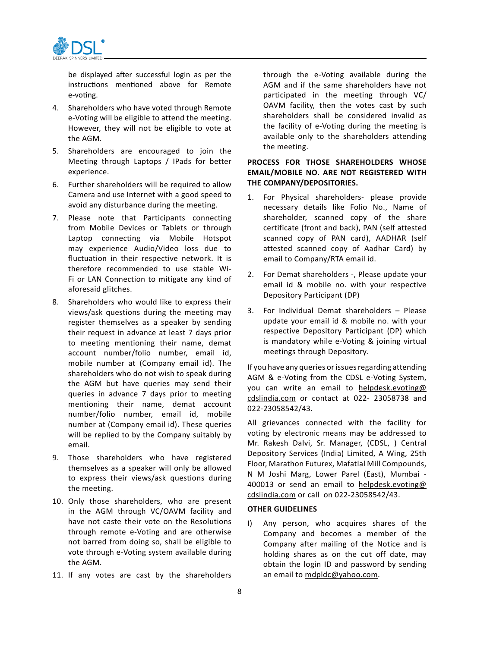

be displayed after successful login as per the instructions mentioned above for Remote e-voting.

- 4. Shareholders who have voted through Remote e-Voting will be eligible to attend the meeting. However, they will not be eligible to vote at the AGM.
- 5. Shareholders are encouraged to join the Meeting through Laptops / IPads for better experience.
- 6. Further shareholders will be required to allow Camera and use Internet with a good speed to avoid any disturbance during the meeting.
- 7. Please note that Participants connecting from Mobile Devices or Tablets or through Laptop connecting via Mobile Hotspot may experience Audio/Video loss due to fluctuation in their respective network. It is therefore recommended to use stable Wi-Fi or LAN Connection to mitigate any kind of aforesaid glitches.
- 8. Shareholders who would like to express their views/ask questions during the meeting may register themselves as a speaker by sending their request in advance at least 7 days prior to meeting mentioning their name, demat account number/folio number, email id, mobile number at (Company email id). The shareholders who do not wish to speak during the AGM but have queries may send their queries in advance 7 days prior to meeting mentioning their name, demat account number/folio number, email id, mobile number at (Company email id). These queries will be replied to by the Company suitably by email.
- 9. Those shareholders who have registered themselves as a speaker will only be allowed to express their views/ask questions during the meeting.
- 10. Only those shareholders, who are present in the AGM through VC/OAVM facility and have not caste their vote on the Resolutions through remote e-Voting and are otherwise not barred from doing so, shall be eligible to vote through e-Voting system available during the AGM.
- 11. If any votes are cast by the shareholders

through the e-Voting available during the AGM and if the same shareholders have not participated in the meeting through VC/ OAVM facility, then the votes cast by such shareholders shall be considered invalid as the facility of e-Voting during the meeting is available only to the shareholders attending the meeting.

# **PROCESS FOR THOSE SHAREHOLDERS WHOSE EMAIL/MOBILE NO. ARE NOT REGISTERED WITH THE COMPANY/DEPOSITORIES.**

- 1. For Physical shareholders- please provide necessary details like Folio No., Name of shareholder, scanned copy of the share certificate (front and back), PAN (self attested scanned copy of PAN card), AADHAR (self attested scanned copy of Aadhar Card) by email to Company/RTA email id.
- 2. For Demat shareholders -, Please update your email id & mobile no. with your respective Depository Participant (DP)
- 3. For Individual Demat shareholders Please update your email id & mobile no. with your respective Depository Participant (DP) which is mandatory while e-Voting & joining virtual meetings through Depository.

If you have any queries or issues regarding attending AGM & e-Voting from the CDSL e-Voting System, you can write an email to helpdesk.evoting@ cdslindia.com or contact at 022- 23058738 and 022-23058542/43.

All grievances connected with the facility for voting by electronic means may be addressed to Mr. Rakesh Dalvi, Sr. Manager, (CDSL, ) Central Depository Services (India) Limited, A Wing, 25th Floor, Marathon Futurex, Mafatlal Mill Compounds, N M Joshi Marg, Lower Parel (East), Mumbai - 400013 or send an email to helpdesk.evoting@ cdslindia.com or call on 022-23058542/43.

## **OTHER GUIDELINES**

I) Any person, who acquires shares of the Company and becomes a member of the Company after mailing of the Notice and is holding shares as on the cut off date, may obtain the login ID and password by sending an email to mdpldc@yahoo.com.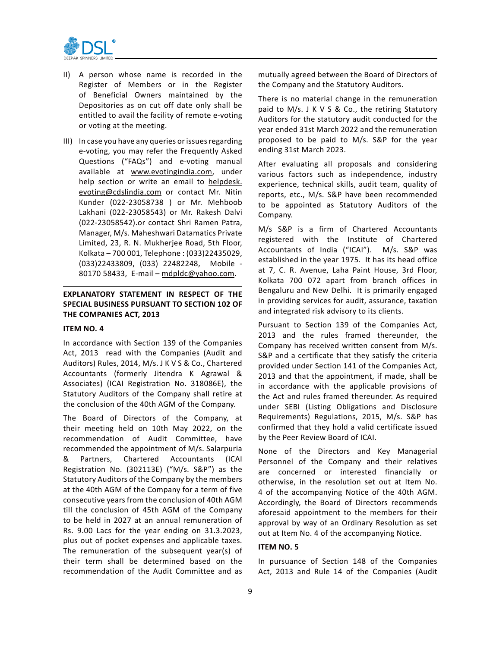

- II) A person whose name is recorded in the Register of Members or in the Register of Beneficial Owners maintained by the Depositories as on cut off date only shall be entitled to avail the facility of remote e-voting or voting at the meeting.
- III) In case you have any queries or issues regarding e-voting, you may refer the Frequently Asked Questions ("FAQs") and e-voting manual available at www.evotingindia.com, under help section or write an email to helpdesk. evoting@cdslindia.com or contact Mr. Nitin Kunder (022-23058738 ) or Mr. Mehboob Lakhani (022-23058543) or Mr. Rakesh Dalvi (022-23058542).or contact Shri Ramen Patra, Manager, M/s. Maheshwari Datamatics Private Limited, 23, R. N. Mukherjee Road, 5th Floor, Kolkata – 700 001, Telephone : (033)22435029, (033)22433809, (033) 22482248, Mobile - 80170 58433, E-mail – mdpldc@yahoo.com.

# **EXPLANATORY STATEMENT IN RESPECT OF THE SPECIAL BUSINESS PURSUANT TO SECTION 102 OF THE COMPANIES ACT, 2013**

#### **ITEM NO. 4**

In accordance with Section 139 of the Companies Act, 2013 read with the Companies (Audit and Auditors) Rules, 2014, M/s. J K V S & Co., Chartered Accountants (formerly Jitendra K Agrawal & Associates) (ICAI Registration No. 318086E), the Statutory Auditors of the Company shall retire at the conclusion of the 40th AGM of the Company.

The Board of Directors of the Company, at their meeting held on 10th May 2022, on the recommendation of Audit Committee, have recommended the appointment of M/s. Salarpuria & Partners, Chartered Accountants (ICAI Registration No. (302113E) ("M/s. S&P") as the Statutory Auditors of the Company by the members at the 40th AGM of the Company for a term of five consecutive years from the conclusion of 40th AGM till the conclusion of 45th AGM of the Company to be held in 2027 at an annual remuneration of Rs. 9.00 Lacs for the year ending on 31.3.2023, plus out of pocket expenses and applicable taxes. The remuneration of the subsequent year(s) of their term shall be determined based on the recommendation of the Audit Committee and as mutually agreed between the Board of Directors of the Company and the Statutory Auditors.

There is no material change in the remuneration paid to M/s. J K V S & Co., the retiring Statutory Auditors for the statutory audit conducted for the year ended 31st March 2022 and the remuneration proposed to be paid to M/s. S&P for the year ending 31st March 2023.

After evaluating all proposals and considering various factors such as independence, industry experience, technical skills, audit team, quality of reports, etc., M/s. S&P have been recommended to be appointed as Statutory Auditors of the Company.

M/s S&P is a firm of Chartered Accountants registered with the Institute of Chartered Accountants of India ("ICAI"). M/s. S&P was established in the year 1975. It has its head office at 7, C. R. Avenue, Laha Paint House, 3rd Floor, Kolkata 700 072 apart from branch offices in Bengaluru and New Delhi. It is primarily engaged in providing services for audit, assurance, taxation and integrated risk advisory to its clients.

Pursuant to Section 139 of the Companies Act, 2013 and the rules framed thereunder, the Company has received written consent from M/s. S&P and a certificate that they satisfy the criteria provided under Section 141 of the Companies Act, 2013 and that the appointment, if made, shall be in accordance with the applicable provisions of the Act and rules framed thereunder. As required under SEBI (Listing Obligations and Disclosure Requirements) Regulations, 2015, M/s. S&P has confirmed that they hold a valid certificate issued by the Peer Review Board of ICAI.

None of the Directors and Key Managerial Personnel of the Company and their relatives are concerned or interested financially or otherwise, in the resolution set out at Item No. 4 of the accompanying Notice of the 40th AGM. Accordingly, the Board of Directors recommends aforesaid appointment to the members for their approval by way of an Ordinary Resolution as set out at Item No. 4 of the accompanying Notice.

#### **ITEM NO. 5**

In pursuance of Section 148 of the Companies Act, 2013 and Rule 14 of the Companies (Audit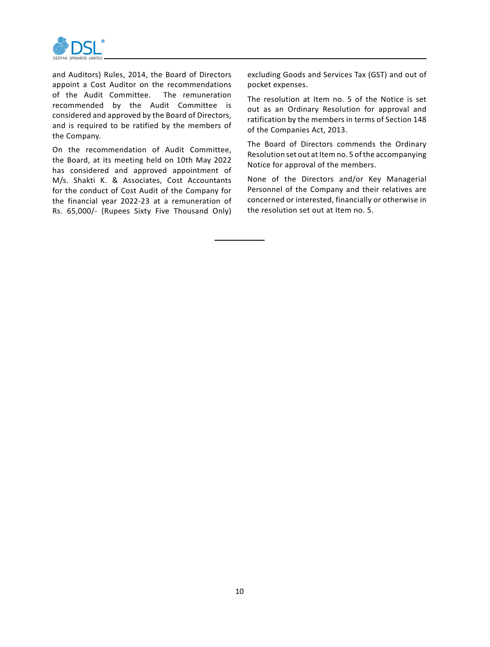

and Auditors) Rules, 2014, the Board of Directors appoint a Cost Auditor on the recommendations of the Audit Committee. The remuneration recommended by the Audit Committee is considered and approved by the Board of Directors, and is required to be ratified by the members of the Company.

On the recommendation of Audit Committee, the Board, at its meeting held on 10th May 2022 has considered and approved appointment of M/s. Shakti K. & Associates, Cost Accountants for the conduct of Cost Audit of the Company for the financial year 2022-23 at a remuneration of Rs. 65,000/- (Rupees Sixty Five Thousand Only)

excluding Goods and Services Tax (GST) and out of pocket expenses.

The resolution at Item no. 5 of the Notice is set out as an Ordinary Resolution for approval and ratification by the members in terms of Section 148 of the Companies Act, 2013.

The Board of Directors commends the Ordinary Resolution set out at Item no. 5 of the accompanying Notice for approval of the members.

None of the Directors and/or Key Managerial Personnel of the Company and their relatives are concerned or interested, financially or otherwise in the resolution set out at Item no. 5.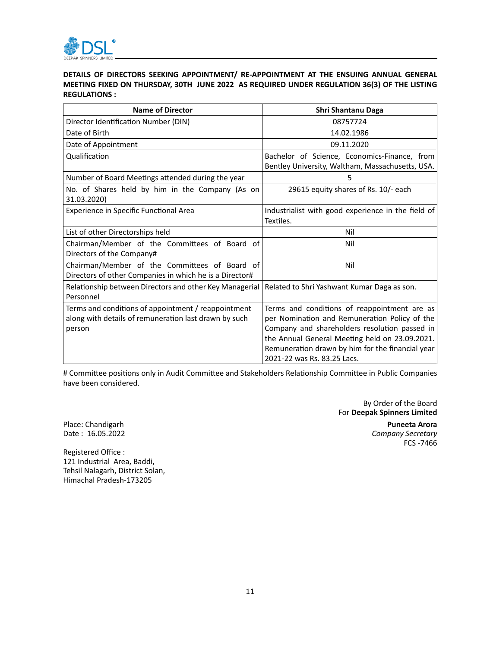

# **DETAILS OF DIRECTORS SEEKING APPOINTMENT/ RE-APPOINTMENT AT THE ENSUING ANNUAL GENERAL MEETING FIXED ON THURSDAY, 30TH JUNE 2022 AS REQUIRED UNDER REGULATION 36(3) OF THE LISTING REGULATIONS :**

| Name of Director                                                                                                       | Shri Shantanu Daga                                                                                                                                                                                                                                   |
|------------------------------------------------------------------------------------------------------------------------|------------------------------------------------------------------------------------------------------------------------------------------------------------------------------------------------------------------------------------------------------|
| Director Identification Number (DIN)                                                                                   | 08757724                                                                                                                                                                                                                                             |
| Date of Birth                                                                                                          | 14.02.1986                                                                                                                                                                                                                                           |
| Date of Appointment                                                                                                    | 09.11.2020                                                                                                                                                                                                                                           |
| Qualification                                                                                                          | Bachelor of Science, Economics-Finance, from<br>Bentley University, Waltham, Massachusetts, USA.                                                                                                                                                     |
| Number of Board Meetings attended during the year                                                                      | 5                                                                                                                                                                                                                                                    |
| No. of Shares held by him in the Company (As on<br>31.03.2020)                                                         | 29615 equity shares of Rs. 10/- each                                                                                                                                                                                                                 |
| Experience in Specific Functional Area                                                                                 | Industrialist with good experience in the field of<br>Textiles.                                                                                                                                                                                      |
| List of other Directorships held                                                                                       | Nil                                                                                                                                                                                                                                                  |
| Chairman/Member of the Committees of Board of<br>Directors of the Company#                                             | Nil                                                                                                                                                                                                                                                  |
| Chairman/Member of the Committees of Board of<br>Directors of other Companies in which he is a Director#               | Nil                                                                                                                                                                                                                                                  |
| Relationship between Directors and other Key Managerial<br>Personnel                                                   | Related to Shri Yashwant Kumar Daga as son.                                                                                                                                                                                                          |
| Terms and conditions of appointment / reappointment<br>along with details of remuneration last drawn by such<br>person | Terms and conditions of reappointment are as<br>per Nomination and Remuneration Policy of the<br>Company and shareholders resolution passed in<br>the Annual General Meeting held on 23.09.2021.<br>Remuneration drawn by him for the financial year |
|                                                                                                                        | 2021-22 was Rs. 83.25 Lacs.                                                                                                                                                                                                                          |

# Committee positions only in Audit Committee and Stakeholders Relationship Committee in Public Companies have been considered.

By Order of the Board For **Deepak Spinners Limited** Place: Chandigarh **Puneeta Arora Company Secretary** 

FCS -7466

Registered Office : 121 Industrial Area, Baddi, Tehsil Nalagarh, District Solan, Himachal Pradesh-173205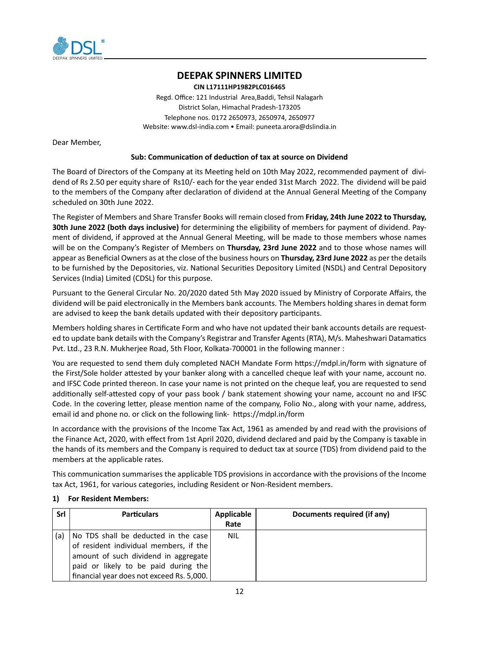

# **DEEPAK SPINNERS LIMITED**

**CIN L17111HP1982PLC016465** Regd. Office: 121 Industrial Area,Baddi, Tehsil Nalagarh District Solan, Himachal Pradesh-173205 Telephone nos. 0172 2650973, 2650974, 2650977 Website: www.dsl-india.com • Email: puneeta.arora@dslindia.in

Dear Member,

## **Sub: Communication of deduction of tax at source on Dividend**

The Board of Directors of the Company at its Meeting held on 10th May 2022, recommended payment of dividend of Rs 2.50 per equity share of Rs10/- each for the year ended 31st March 2022. The dividend will be paid to the members of the Company after declaration of dividend at the Annual General Meeting of the Company scheduled on 30th June 2022.

The Register of Members and Share Transfer Books will remain closed from **Friday, 24th June 2022 to Thursday, 30th June 2022 (both days inclusive)** for determining the eligibility of members for payment of dividend. Payment of dividend, if approved at the Annual General Meeting, will be made to those members whose names will be on the Company's Register of Members on **Thursday, 23rd June 2022** and to those whose names will appear as Beneficial Owners as at the close of the business hours on **Thursday, 23rd June 2022** as per the details to be furnished by the Depositories, viz. National Securities Depository Limited (NSDL) and Central Depository Services (India) Limited (CDSL) for this purpose.

Pursuant to the General Circular No. 20/2020 dated 5th May 2020 issued by Ministry of Corporate Affairs, the dividend will be paid electronically in the Members bank accounts. The Members holding shares in demat form are advised to keep the bank details updated with their depository participants.

Members holding shares in Certificate Form and who have not updated their bank accounts details are requested to update bank details with the Company's Registrar and Transfer Agents (RTA), M/s. Maheshwari Datamatics Pvt. Ltd., 23 R.N. Mukherjee Road, 5th Floor, Kolkata-700001 in the following manner :

You are requested to send them duly completed NACH Mandate Form https://mdpl.in/form with signature of the First/Sole holder attested by your banker along with a cancelled cheque leaf with your name, account no. and IFSC Code printed thereon. In case your name is not printed on the cheque leaf, you are requested to send additionally self-attested copy of your pass book / bank statement showing your name, account no and IFSC Code. In the covering letter, please mention name of the company, Folio No., along with your name, address, email id and phone no. or click on the following link- https://mdpl.in/form

In accordance with the provisions of the Income Tax Act, 1961 as amended by and read with the provisions of the Finance Act, 2020, with effect from 1st April 2020, dividend declared and paid by the Company is taxable in the hands of its members and the Company is required to deduct tax at source (TDS) from dividend paid to the members at the applicable rates.

This communication summarises the applicable TDS provisions in accordance with the provisions of the Income tax Act, 1961, for various categories, including Resident or Non-Resident members.

| Srl | <b>Particulars</b>                        | Applicable | Documents required (if any) |
|-----|-------------------------------------------|------------|-----------------------------|
|     |                                           | Rate       |                             |
| (a) | No TDS shall be deducted in the case      | <b>NIL</b> |                             |
|     | of resident individual members, if the    |            |                             |
|     | amount of such dividend in aggregate      |            |                             |
|     | paid or likely to be paid during the      |            |                             |
|     | financial year does not exceed Rs. 5,000. |            |                             |

## **1) For Resident Members:**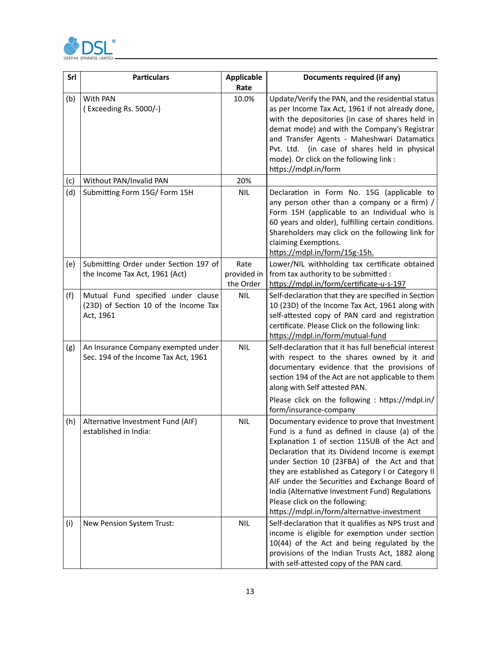

| Srl | <b>Particulars</b>                                                                       | <b>Applicable</b><br>Rate | Documents required (if any)                                                                                                                                                                                                                                                                                                                                                                                                                                                                   |
|-----|------------------------------------------------------------------------------------------|---------------------------|-----------------------------------------------------------------------------------------------------------------------------------------------------------------------------------------------------------------------------------------------------------------------------------------------------------------------------------------------------------------------------------------------------------------------------------------------------------------------------------------------|
| (b) | With PAN<br>(Exceeding Rs. 5000/-)                                                       | 10.0%                     | Update/Verify the PAN, and the residential status<br>as per Income Tax Act, 1961 if not already done,<br>with the depositories (in case of shares held in<br>demat mode) and with the Company's Registrar<br>and Transfer Agents - Maheshwari Datamatics<br>Pvt. Ltd. (in case of shares held in physical<br>mode). Or click on the following link :<br>https://mdpl.in/form                                                                                                                  |
| (c) | Without PAN/Invalid PAN                                                                  | 20%                       |                                                                                                                                                                                                                                                                                                                                                                                                                                                                                               |
| (d) | Submitting Form 15G/ Form 15H                                                            | <b>NIL</b>                | Declaration in Form No. 15G (applicable to<br>any person other than a company or a firm) /<br>Form 15H (applicable to an Individual who is<br>60 years and older), fulfilling certain conditions.<br>Shareholders may click on the following link for<br>claiming Exemptions.<br>https://mdpl.in/form/15g-15h.                                                                                                                                                                                |
| (e) | Submitting Order under Section 197 of                                                    | Rate                      | Lower/NIL withholding tax certificate obtained                                                                                                                                                                                                                                                                                                                                                                                                                                                |
|     | the Income Tax Act, 1961 (Act)                                                           | provided in               | from tax authority to be submitted :                                                                                                                                                                                                                                                                                                                                                                                                                                                          |
|     |                                                                                          | the Order                 | https://mdpl.in/form/certificate-u-s-197                                                                                                                                                                                                                                                                                                                                                                                                                                                      |
| (f) | Mutual Fund specified under clause<br>(23D) of Section 10 of the Income Tax<br>Act, 1961 | <b>NIL</b>                | Self-declaration that they are specified in Section<br>10 (23D) of the Income Tax Act, 1961 along with<br>self-attested copy of PAN card and registration<br>certificate. Please Click on the following link:<br>https://mdpl.in/form/mutual-fund                                                                                                                                                                                                                                             |
| (g) | An Insurance Company exempted under<br>Sec. 194 of the Income Tax Act, 1961              | <b>NIL</b>                | Self-declaration that it has full beneficial interest<br>with respect to the shares owned by it and<br>documentary evidence that the provisions of<br>section 194 of the Act are not applicable to them<br>along with Self attested PAN.<br>Please click on the following : https://mdpl.in/<br>form/insurance-company                                                                                                                                                                        |
| (h) | Alternative Investment Fund (AIF)<br>established in India:                               | NIL                       | Documentary evidence to prove that Investment<br>Fund is a fund as defined in clause (a) of the<br>Explanation 1 of section 115UB of the Act and<br>Declaration that its Dividend Income is exempt<br>under Section 10 (23FBA) of the Act and that<br>they are established as Category I or Category II<br>AIF under the Securities and Exchange Board of<br>India (Alternative Investment Fund) Regulations<br>Please click on the following:<br>https://mdpl.in/form/alternative-investment |
| (i) | New Pension System Trust:                                                                | NIL                       | Self-declaration that it qualifies as NPS trust and<br>income is eligible for exemption under section<br>10(44) of the Act and being regulated by the<br>provisions of the Indian Trusts Act, 1882 along<br>with self-attested copy of the PAN card.                                                                                                                                                                                                                                          |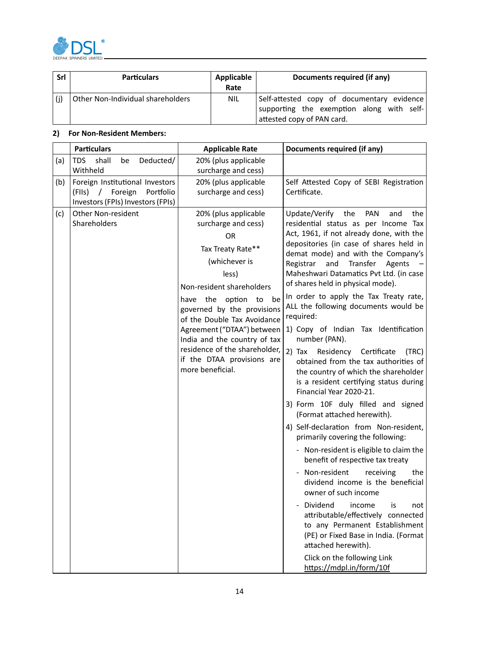

| Srl | <b>Particulars</b>                | Applicable<br>Rate | Documents required (if any)                                                                                           |
|-----|-----------------------------------|--------------------|-----------------------------------------------------------------------------------------------------------------------|
| (i) | Other Non-Individual shareholders | NIL                | Self-attested copy of documentary evidence<br>supporting the exemption along with self-<br>attested copy of PAN card. |

# **2) For Non-Resident Members:**

|     | <b>Particulars</b>                | <b>Applicable Rate</b>            | Documents required (if any)                                                         |
|-----|-----------------------------------|-----------------------------------|-------------------------------------------------------------------------------------|
| (a) | TDS<br>shall<br>Deducted/<br>be   | 20% (plus applicable              |                                                                                     |
|     | Withheld                          | surcharge and cess)               |                                                                                     |
| (b) | Foreign Institutional Investors   | 20% (plus applicable              | Self Attested Copy of SEBI Registration                                             |
|     | (FIIs) / Foreign<br>Portfolio     | surcharge and cess)               | Certificate.                                                                        |
|     | Investors (FPIs) Investors (FPIs) |                                   |                                                                                     |
| (c) | <b>Other Non-resident</b>         | 20% (plus applicable              | Update/Verify<br>the<br>PAN<br>and<br>the                                           |
|     | Shareholders                      | surcharge and cess)               | residential status as per Income Tax                                                |
|     |                                   | OR                                | Act, 1961, if not already done, with the<br>depositories (in case of shares held in |
|     |                                   | Tax Treaty Rate**                 | demat mode) and with the Company's                                                  |
|     |                                   | (whichever is                     | and Transfer Agents<br>Registrar                                                    |
|     |                                   | less)                             | Maheshwari Datamatics Pvt Ltd. (in case                                             |
|     |                                   | Non-resident shareholders         | of shares held in physical mode).                                                   |
|     |                                   | option<br>the<br>to<br>be<br>have | In order to apply the Tax Treaty rate,                                              |
|     |                                   | governed by the provisions        | ALL the following documents would be                                                |
|     |                                   | of the Double Tax Avoidance       | required:                                                                           |
|     |                                   | Agreement ("DTAA") between        | 1) Copy of Indian Tax Identification                                                |
|     |                                   | India and the country of tax      | number (PAN).                                                                       |
|     |                                   | residence of the shareholder,     | $2)$ Tax<br>Residency Certificate<br>(TRC)                                          |
|     |                                   | if the DTAA provisions are        | obtained from the tax authorities of                                                |
|     |                                   | more beneficial.                  | the country of which the shareholder                                                |
|     |                                   |                                   | is a resident certifying status during                                              |
|     |                                   |                                   | Financial Year 2020-21.                                                             |
|     |                                   |                                   | 3) Form 10F duly filled and signed<br>(Format attached herewith).                   |
|     |                                   |                                   | 4) Self-declaration from Non-resident,                                              |
|     |                                   |                                   | primarily covering the following:                                                   |
|     |                                   |                                   | Non-resident is eligible to claim the<br>benefit of respective tax treaty           |
|     |                                   |                                   | - Non-resident<br>receiving<br>the                                                  |
|     |                                   |                                   | dividend income is the beneficial                                                   |
|     |                                   |                                   | owner of such income                                                                |
|     |                                   |                                   | Dividend<br>income<br>is<br>not                                                     |
|     |                                   |                                   | attributable/effectively connected                                                  |
|     |                                   |                                   | to any Permanent Establishment                                                      |
|     |                                   |                                   | (PE) or Fixed Base in India. (Format                                                |
|     |                                   |                                   | attached herewith).                                                                 |
|     |                                   |                                   | Click on the following Link                                                         |
|     |                                   |                                   | https://mdpl.in/form/10f                                                            |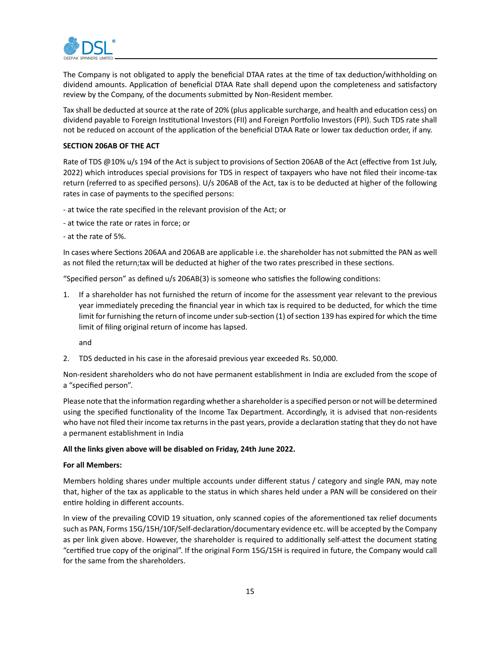

The Company is not obligated to apply the beneficial DTAA rates at the time of tax deduction/withholding on dividend amounts. Application of beneficial DTAA Rate shall depend upon the completeness and satisfactory review by the Company, of the documents submitted by Non-Resident member.

Tax shall be deducted at source at the rate of 20% (plus applicable surcharge, and health and education cess) on dividend payable to Foreign Institutional Investors (FII) and Foreign Portfolio Investors (FPI). Such TDS rate shall not be reduced on account of the application of the beneficial DTAA Rate or lower tax deduction order, if any.

## **SECTION 206AB OF THE ACT**

Rate of TDS @10% u/s 194 of the Act is subject to provisions of Section 206AB of the Act (effective from 1st July, 2022) which introduces special provisions for TDS in respect of taxpayers who have not filed their income-tax return (referred to as specified persons). U/s 206AB of the Act, tax is to be deducted at higher of the following rates in case of payments to the specified persons:

- at twice the rate specified in the relevant provision of the Act; or
- at twice the rate or rates in force; or
- at the rate of 5%.

In cases where Sections 206AA and 206AB are applicable i.e. the shareholder has not submitted the PAN as well as not filed the return;tax will be deducted at higher of the two rates prescribed in these sections.

"Specified person" as defined u/s 206AB(3) is someone who satisfies the following conditions:

1. If a shareholder has not furnished the return of income for the assessment year relevant to the previous year immediately preceding the financial year in which tax is required to be deducted, for which the time limit for furnishing the return of income under sub-section (1) of section 139 has expired for which the time limit of filing original return of income has lapsed.

and

2. TDS deducted in his case in the aforesaid previous year exceeded Rs. 50,000.

Non-resident shareholders who do not have permanent establishment in India are excluded from the scope of a "specified person".

Please note that the information regarding whether a shareholder is a specified person or not will be determined using the specified functionality of the Income Tax Department. Accordingly, it is advised that non-residents who have not filed their income tax returns in the past years, provide a declaration stating that they do not have a permanent establishment in India

#### **All the links given above will be disabled on Friday, 24th June 2022.**

#### **For all Members:**

Members holding shares under multiple accounts under different status / category and single PAN, may note that, higher of the tax as applicable to the status in which shares held under a PAN will be considered on their entire holding in different accounts.

In view of the prevailing COVID 19 situation, only scanned copies of the aforementioned tax relief documents such as PAN, Forms 15G/15H/10F/Self-declaration/documentary evidence etc. will be accepted by the Company as per link given above. However, the shareholder is required to additionally self-attest the document stating "certified true copy of the original". If the original Form 15G/15H is required in future, the Company would call for the same from the shareholders.